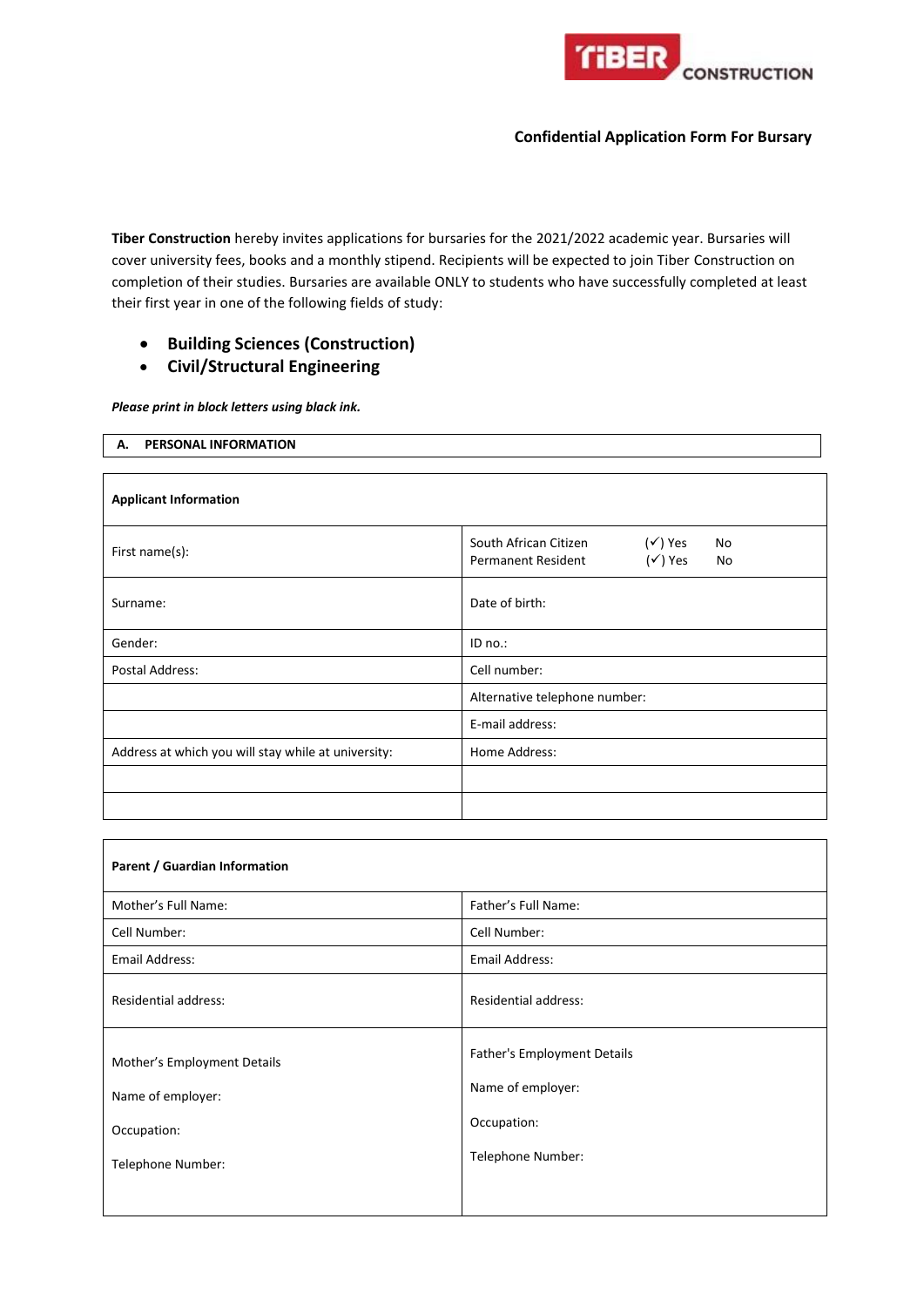

**Tiber Construction** hereby invites applications for bursaries for the 2021/2022 academic year. Bursaries will cover university fees, books and a monthly stipend. Recipients will be expected to join Tiber Construction on completion of their studies. Bursaries are available ONLY to students who have successfully completed at least their first year in one of the following fields of study:

- **Building Sciences (Construction)**
- **Civil/Structural Engineering**

*Please print in block letters using black ink.*

**A. PERSONAL INFORMATION**

| <b>Applicant Information</b>                        |                                                                                                            |  |  |  |  |  |
|-----------------------------------------------------|------------------------------------------------------------------------------------------------------------|--|--|--|--|--|
| First name(s):                                      | $(\checkmark)$ Yes<br>South African Citizen<br>No<br>$(\checkmark)$ Yes<br><b>Permanent Resident</b><br>No |  |  |  |  |  |
| Surname:                                            | Date of birth:                                                                                             |  |  |  |  |  |
| Gender:                                             | ID no.:                                                                                                    |  |  |  |  |  |
| Postal Address:                                     | Cell number:                                                                                               |  |  |  |  |  |
|                                                     | Alternative telephone number:                                                                              |  |  |  |  |  |
|                                                     | E-mail address:                                                                                            |  |  |  |  |  |
| Address at which you will stay while at university: | Home Address:                                                                                              |  |  |  |  |  |
|                                                     |                                                                                                            |  |  |  |  |  |
|                                                     |                                                                                                            |  |  |  |  |  |

| Parent / Guardian Information                                                        |                                                                                      |  |  |  |  |  |
|--------------------------------------------------------------------------------------|--------------------------------------------------------------------------------------|--|--|--|--|--|
| Mother's Full Name:                                                                  | Father's Full Name:                                                                  |  |  |  |  |  |
| Cell Number:                                                                         | Cell Number:                                                                         |  |  |  |  |  |
| Email Address:                                                                       | Email Address:                                                                       |  |  |  |  |  |
| <b>Residential address:</b>                                                          | <b>Residential address:</b>                                                          |  |  |  |  |  |
| Mother's Employment Details<br>Name of employer:<br>Occupation:<br>Telephone Number: | Father's Employment Details<br>Name of employer:<br>Occupation:<br>Telephone Number: |  |  |  |  |  |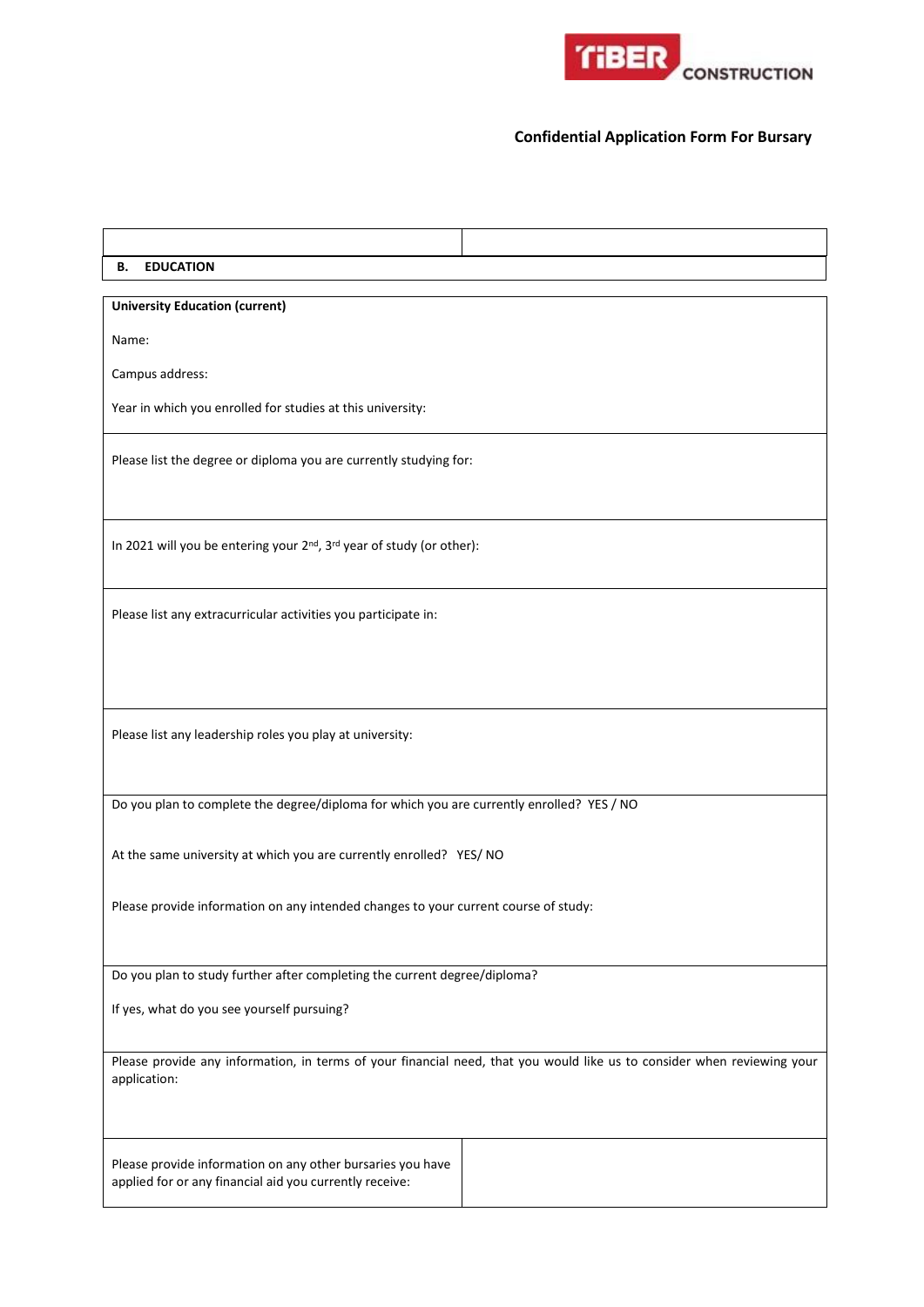

| <b>EDUCATION</b><br>В.                                                                                                |                                                                                                                         |
|-----------------------------------------------------------------------------------------------------------------------|-------------------------------------------------------------------------------------------------------------------------|
| <b>University Education (current)</b>                                                                                 |                                                                                                                         |
| Name:                                                                                                                 |                                                                                                                         |
| Campus address:                                                                                                       |                                                                                                                         |
| Year in which you enrolled for studies at this university:                                                            |                                                                                                                         |
| Please list the degree or diploma you are currently studying for:                                                     |                                                                                                                         |
| In 2021 will you be entering your 2nd, 3rd year of study (or other):                                                  |                                                                                                                         |
| Please list any extracurricular activities you participate in:                                                        |                                                                                                                         |
| Please list any leadership roles you play at university:                                                              |                                                                                                                         |
| Do you plan to complete the degree/diploma for which you are currently enrolled? YES / NO                             |                                                                                                                         |
| At the same university at which you are currently enrolled? YES/ NO                                                   |                                                                                                                         |
| Please provide information on any intended changes to your current course of study:                                   |                                                                                                                         |
| Do you plan to study further after completing the current degree/diploma?                                             |                                                                                                                         |
| If yes, what do you see yourself pursuing?                                                                            |                                                                                                                         |
| application:                                                                                                          | Please provide any information, in terms of your financial need, that you would like us to consider when reviewing your |
| Please provide information on any other bursaries you have<br>applied for or any financial aid you currently receive: |                                                                                                                         |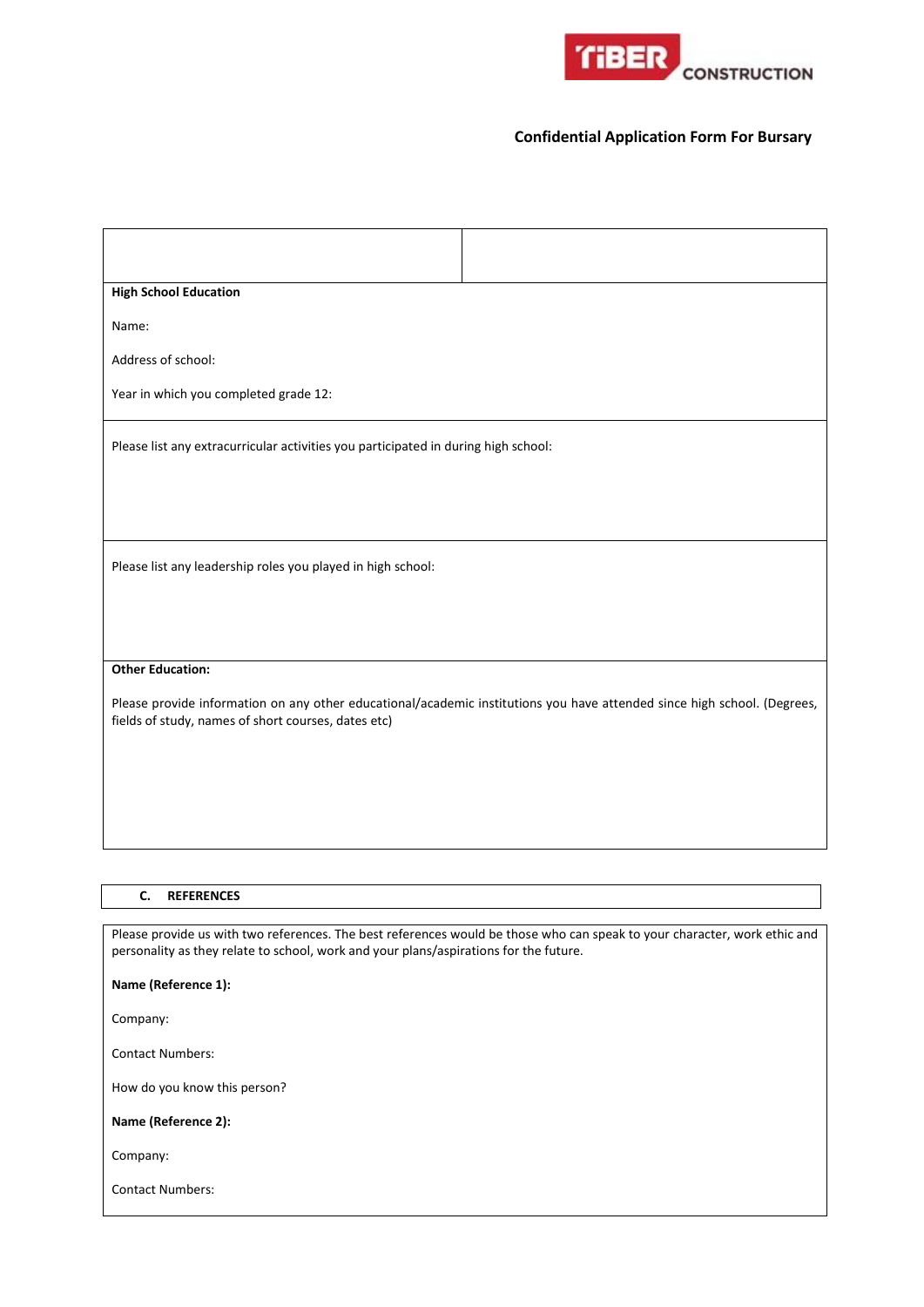

| <b>High School Education</b>                                                                                                                                                                                       |
|--------------------------------------------------------------------------------------------------------------------------------------------------------------------------------------------------------------------|
| Name:                                                                                                                                                                                                              |
| Address of school:                                                                                                                                                                                                 |
| Year in which you completed grade 12:                                                                                                                                                                              |
| Please list any extracurricular activities you participated in during high school:                                                                                                                                 |
|                                                                                                                                                                                                                    |
| Please list any leadership roles you played in high school:                                                                                                                                                        |
|                                                                                                                                                                                                                    |
| <b>Other Education:</b><br>Please provide information on any other educational/academic institutions you have attended since high school. (Degrees,<br>fields of study, names of short courses, dates etc)         |
|                                                                                                                                                                                                                    |
|                                                                                                                                                                                                                    |
|                                                                                                                                                                                                                    |
| C.<br><b>REFERENCES</b>                                                                                                                                                                                            |
| Please provide us with two references. The best references would be those who can speak to your character, work ethic and<br>personality as they relate to school, work and your plans/aspirations for the future. |
| Name (Reference 1):                                                                                                                                                                                                |
| Company:                                                                                                                                                                                                           |
| <b>Contact Numbers:</b>                                                                                                                                                                                            |
| How do you know this person?                                                                                                                                                                                       |
| Name (Reference 2):                                                                                                                                                                                                |
| Company:                                                                                                                                                                                                           |

Contact Numbers: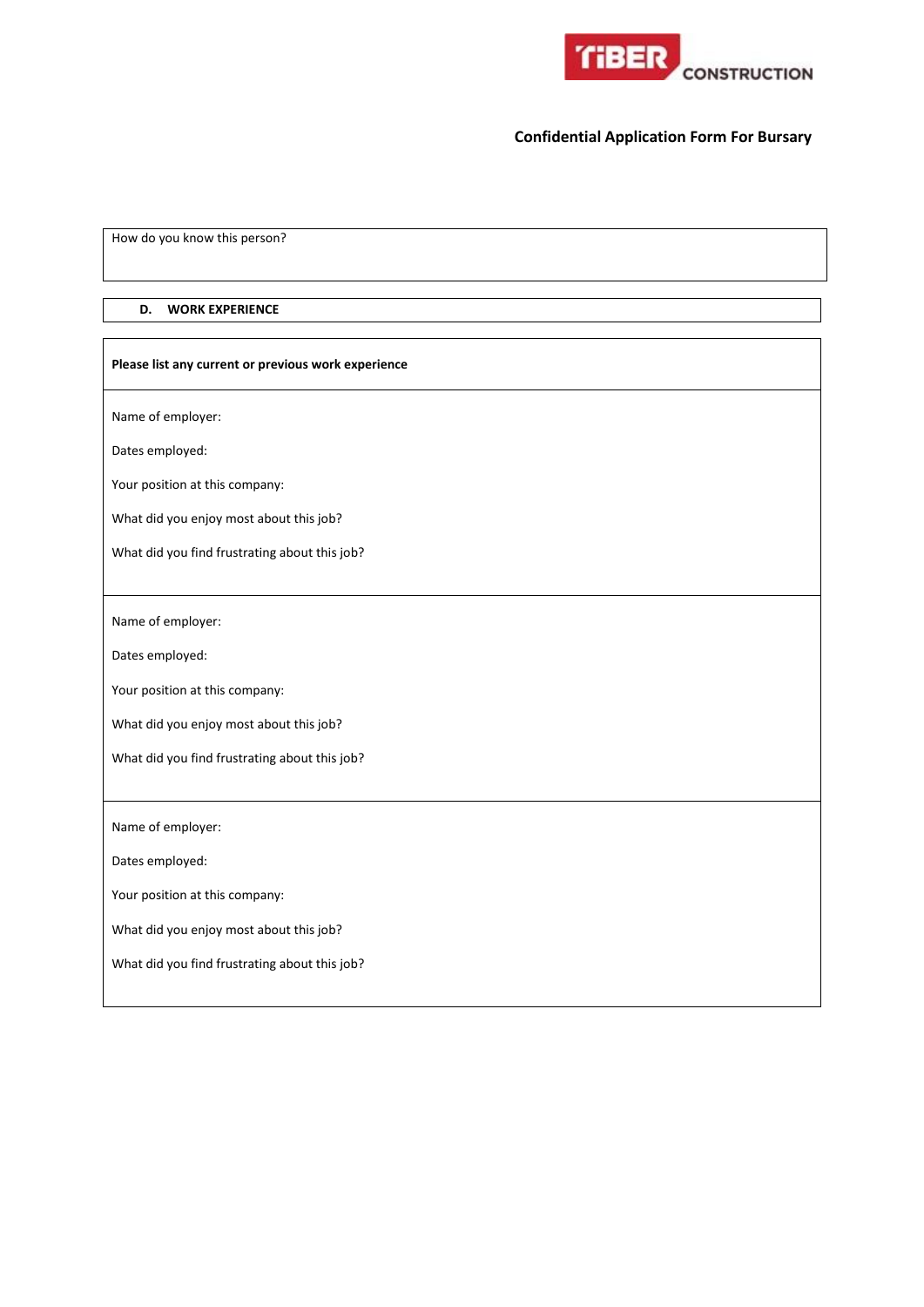

How do you know this person?

### **D. WORK EXPERIENCE**

 $\overline{\phantom{a}}$ 

| Please list any current or previous work experience |  |  |  |  |  |  |
|-----------------------------------------------------|--|--|--|--|--|--|
| Name of employer:                                   |  |  |  |  |  |  |
| Dates employed:                                     |  |  |  |  |  |  |
| Your position at this company:                      |  |  |  |  |  |  |
| What did you enjoy most about this job?             |  |  |  |  |  |  |
| What did you find frustrating about this job?       |  |  |  |  |  |  |
|                                                     |  |  |  |  |  |  |
| Name of employer:                                   |  |  |  |  |  |  |
| Dates employed:                                     |  |  |  |  |  |  |
| Your position at this company:                      |  |  |  |  |  |  |
| What did you enjoy most about this job?             |  |  |  |  |  |  |
| What did you find frustrating about this job?       |  |  |  |  |  |  |
|                                                     |  |  |  |  |  |  |
| Name of employer:                                   |  |  |  |  |  |  |
| Dates employed:                                     |  |  |  |  |  |  |
| Your position at this company:                      |  |  |  |  |  |  |
| What did you enjoy most about this job?             |  |  |  |  |  |  |
| What did you find frustrating about this job?       |  |  |  |  |  |  |
|                                                     |  |  |  |  |  |  |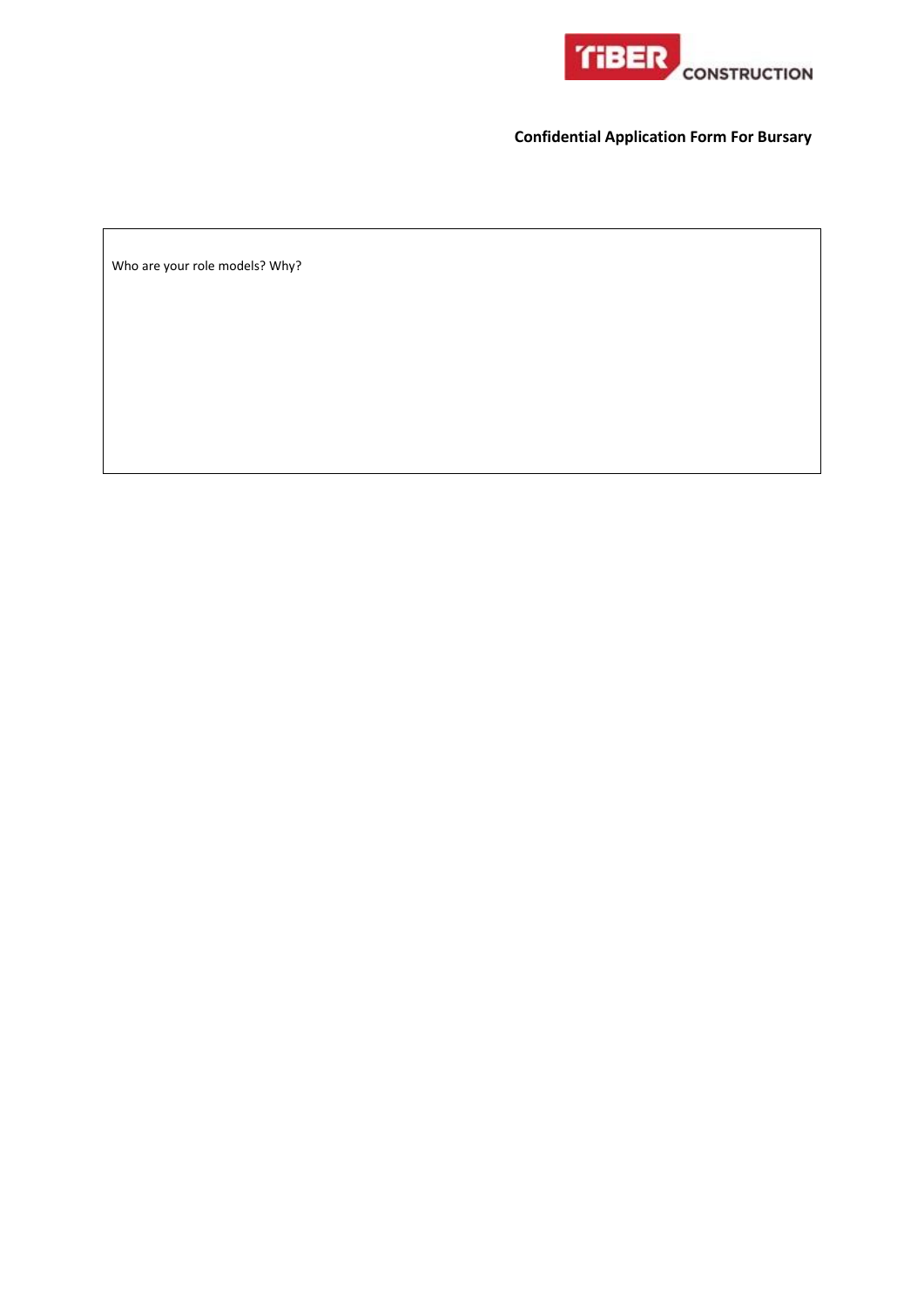

Who are your role models? Why?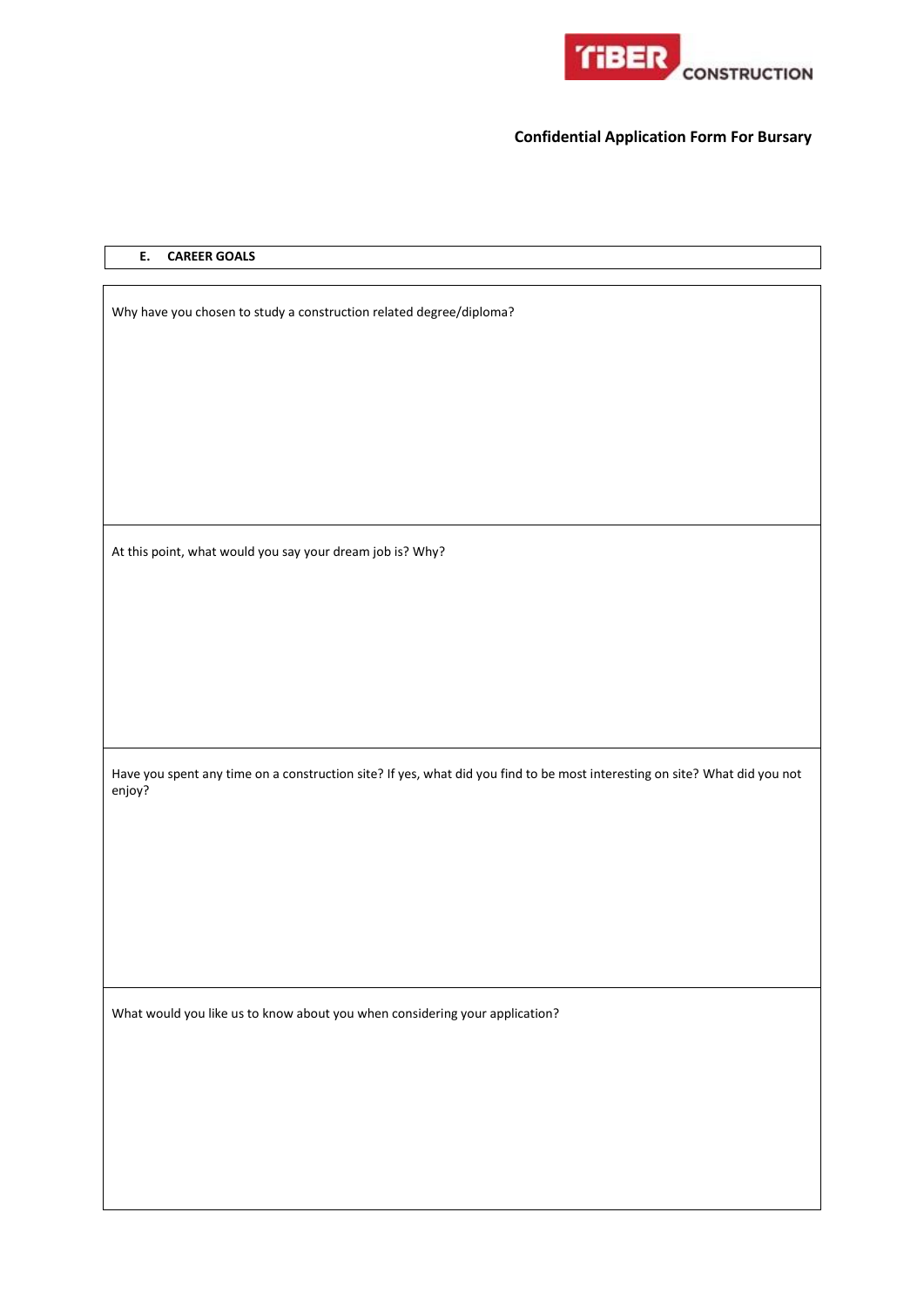

## **E. CAREER GOALS**

Why have you chosen to study a construction related degree/diploma? At this point, what would you say your dream job is? Why? Have you spent any time on a construction site? If yes, what did you find to be most interesting on site? What did you not enjoy? What would you like us to know about you when considering your application?